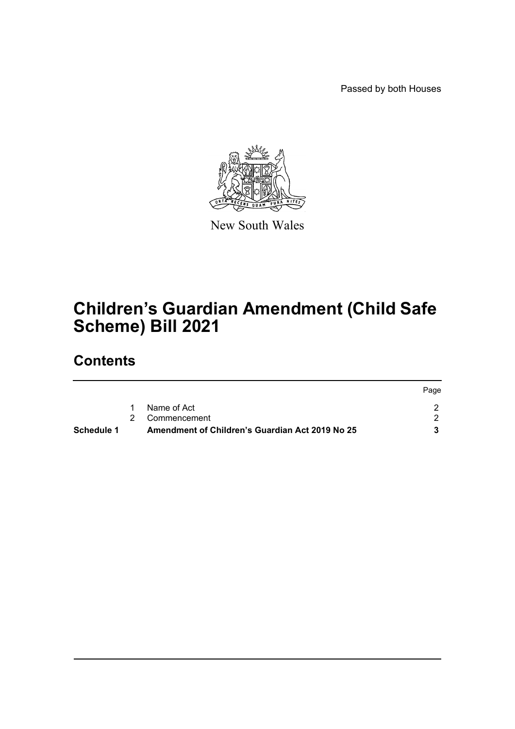Passed by both Houses



New South Wales

# **Children's Guardian Amendment (Child Safe Scheme) Bill 2021**

# **Contents**

| Schedule 1 | Amendment of Children's Guardian Act 2019 No 25 |      |
|------------|-------------------------------------------------|------|
|            | 2 Commencement                                  |      |
|            | Name of Act                                     |      |
|            |                                                 | Page |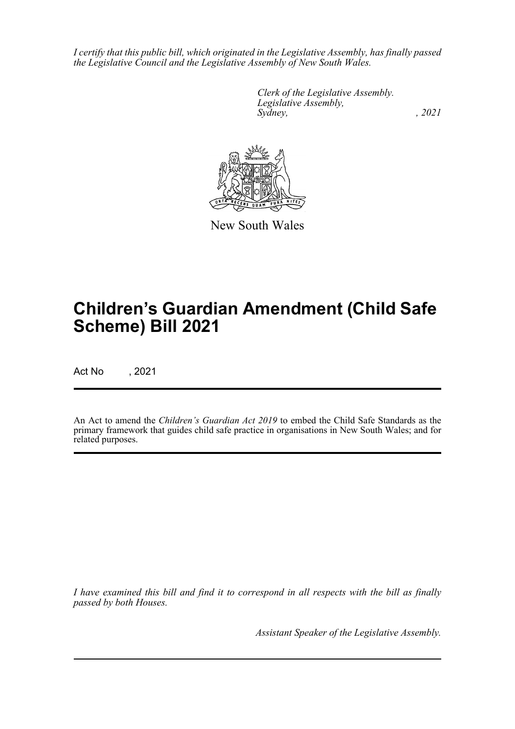*I certify that this public bill, which originated in the Legislative Assembly, has finally passed the Legislative Council and the Legislative Assembly of New South Wales.*

> *Clerk of the Legislative Assembly. Legislative Assembly, Sydney, , 2021*



New South Wales

# **Children's Guardian Amendment (Child Safe Scheme) Bill 2021**

Act No , 2021

An Act to amend the *Children's Guardian Act 2019* to embed the Child Safe Standards as the primary framework that guides child safe practice in organisations in New South Wales; and for related purposes.

*I have examined this bill and find it to correspond in all respects with the bill as finally passed by both Houses.*

*Assistant Speaker of the Legislative Assembly.*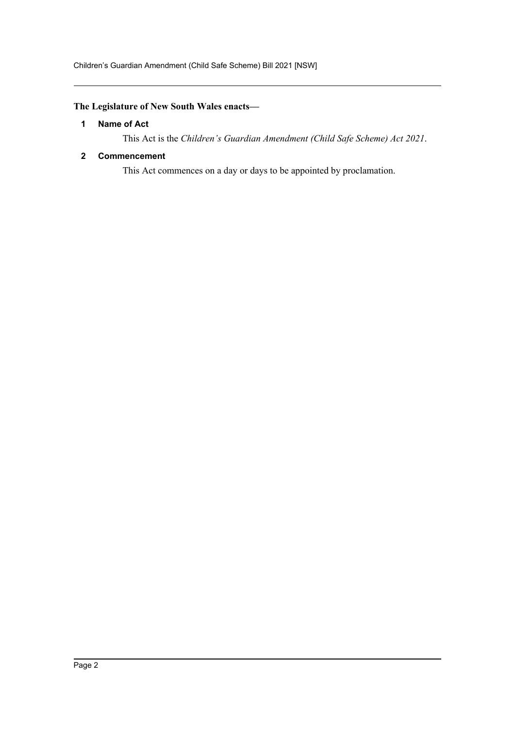# <span id="page-2-0"></span>**The Legislature of New South Wales enacts—**

## **1 Name of Act**

This Act is the *Children's Guardian Amendment (Child Safe Scheme) Act 2021*.

# <span id="page-2-1"></span>**2 Commencement**

This Act commences on a day or days to be appointed by proclamation.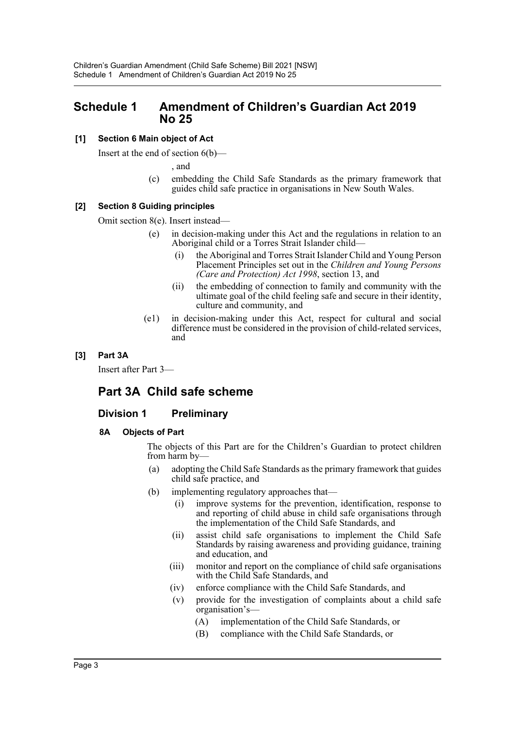# <span id="page-3-0"></span>**Schedule 1 Amendment of Children's Guardian Act 2019 No 25**

# **[1] Section 6 Main object of Act**

Insert at the end of section 6(b)—

, and

(c) embedding the Child Safe Standards as the primary framework that guides child safe practice in organisations in New South Wales.

## **[2] Section 8 Guiding principles**

Omit section 8(e). Insert instead—

- (e) in decision-making under this Act and the regulations in relation to an Aboriginal child or a Torres Strait Islander child—
	- (i) the Aboriginal and Torres Strait Islander Child and Young Person Placement Principles set out in the *Children and Young Persons (Care and Protection) Act 1998*, section 13, and
	- (ii) the embedding of connection to family and community with the ultimate goal of the child feeling safe and secure in their identity, culture and community, and
- (e1) in decision-making under this Act, respect for cultural and social difference must be considered in the provision of child-related services, and

# **[3] Part 3A**

Insert after Part 3—

# **Part 3A Child safe scheme**

# **Division 1 Preliminary**

## **8A Objects of Part**

The objects of this Part are for the Children's Guardian to protect children from harm by—

- (a) adopting the Child Safe Standards as the primary framework that guides child safe practice, and
- (b) implementing regulatory approaches that—
	- (i) improve systems for the prevention, identification, response to and reporting of child abuse in child safe organisations through the implementation of the Child Safe Standards, and
	- (ii) assist child safe organisations to implement the Child Safe Standards by raising awareness and providing guidance, training and education, and
	- (iii) monitor and report on the compliance of child safe organisations with the Child Safe Standards, and
	- (iv) enforce compliance with the Child Safe Standards, and
	- (v) provide for the investigation of complaints about a child safe organisation's—
		- (A) implementation of the Child Safe Standards, or
		- (B) compliance with the Child Safe Standards, or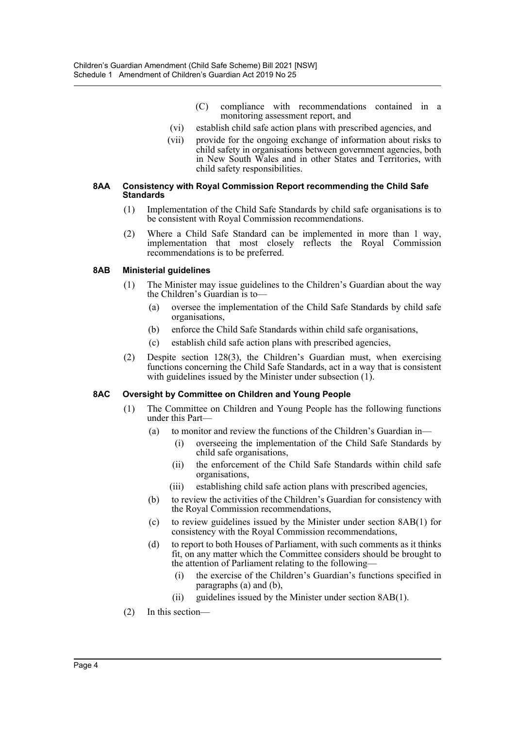- (C) compliance with recommendations contained in a monitoring assessment report, and
- (vi) establish child safe action plans with prescribed agencies, and
- (vii) provide for the ongoing exchange of information about risks to child safety in organisations between government agencies, both in New South Wales and in other States and Territories, with child safety responsibilities.

#### **8AA Consistency with Royal Commission Report recommending the Child Safe Standards**

- (1) Implementation of the Child Safe Standards by child safe organisations is to be consistent with Royal Commission recommendations.
- (2) Where a Child Safe Standard can be implemented in more than 1 way, implementation that most closely reflects the Royal Commission recommendations is to be preferred.

## **8AB Ministerial guidelines**

- (1) The Minister may issue guidelines to the Children's Guardian about the way the Children's Guardian is to—
	- (a) oversee the implementation of the Child Safe Standards by child safe organisations,
	- (b) enforce the Child Safe Standards within child safe organisations,
	- (c) establish child safe action plans with prescribed agencies,
- (2) Despite section 128(3), the Children's Guardian must, when exercising functions concerning the Child Safe Standards, act in a way that is consistent with guidelines issued by the Minister under subsection (1).

## **8AC Oversight by Committee on Children and Young People**

- (1) The Committee on Children and Young People has the following functions under this Part—
	- (a) to monitor and review the functions of the Children's Guardian in—
		- (i) overseeing the implementation of the Child Safe Standards by child safe organisations,
		- (ii) the enforcement of the Child Safe Standards within child safe organisations,
		- (iii) establishing child safe action plans with prescribed agencies,
	- (b) to review the activities of the Children's Guardian for consistency with the Royal Commission recommendations,
	- (c) to review guidelines issued by the Minister under section 8AB(1) for consistency with the Royal Commission recommendations,
	- (d) to report to both Houses of Parliament, with such comments as it thinks fit, on any matter which the Committee considers should be brought to the attention of Parliament relating to the following—
		- (i) the exercise of the Children's Guardian's functions specified in paragraphs (a) and (b),
		- (ii) guidelines issued by the Minister under section 8AB(1).
- (2) In this section—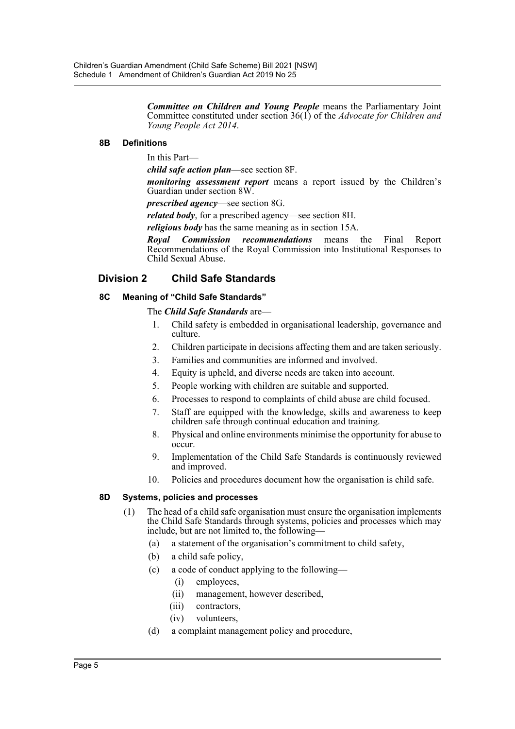*Committee on Children and Young People* means the Parliamentary Joint Committee constituted under section 36(1) of the *Advocate for Children and Young People Act 2014*.

## **8B Definitions**

In this Part—

*child safe action plan*—see section 8F.

*monitoring assessment report* means a report issued by the Children's Guardian under section 8W.

*prescribed agency*—see section 8G.

*related body*, for a prescribed agency—see section 8H.

*religious body* has the same meaning as in section 15A.

*Royal Commission recommendations* means the Final Report Recommendations of the Royal Commission into Institutional Responses to Child Sexual Abuse.

# **Division 2 Child Safe Standards**

# **8C Meaning of "Child Safe Standards"**

The *Child Safe Standards* are—

- 1. Child safety is embedded in organisational leadership, governance and culture.
- 2. Children participate in decisions affecting them and are taken seriously.
- 3. Families and communities are informed and involved.
- 4. Equity is upheld, and diverse needs are taken into account.
- 5. People working with children are suitable and supported.
- 6. Processes to respond to complaints of child abuse are child focused.
- 7. Staff are equipped with the knowledge, skills and awareness to keep children safe through continual education and training.
- 8. Physical and online environments minimise the opportunity for abuse to occur.
- 9. Implementation of the Child Safe Standards is continuously reviewed and improved.
- 10. Policies and procedures document how the organisation is child safe.

## **8D Systems, policies and processes**

- (1) The head of a child safe organisation must ensure the organisation implements the Child Safe Standards through systems, policies and processes which may include, but are not limited to, the following—
	- (a) a statement of the organisation's commitment to child safety,
	- (b) a child safe policy,
	- (c) a code of conduct applying to the following—
		- (i) employees,
		- (ii) management, however described,
		- (iii) contractors,
		- (iv) volunteers,
	- (d) a complaint management policy and procedure,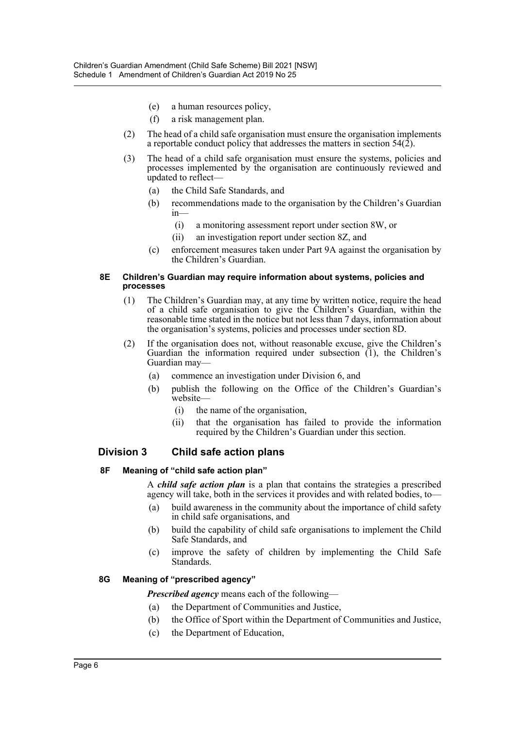- (e) a human resources policy,
- (f) a risk management plan.
- (2) The head of a child safe organisation must ensure the organisation implements a reportable conduct policy that addresses the matters in section  $54(\hat{2})$ .
- (3) The head of a child safe organisation must ensure the systems, policies and processes implemented by the organisation are continuously reviewed and updated to reflect—
	- (a) the Child Safe Standards, and
	- (b) recommendations made to the organisation by the Children's Guardian in—
		- (i) a monitoring assessment report under section 8W, or
		- (ii) an investigation report under section 8Z, and
	- (c) enforcement measures taken under Part 9A against the organisation by the Children's Guardian.

#### **8E Children's Guardian may require information about systems, policies and processes**

- (1) The Children's Guardian may, at any time by written notice, require the head of a child safe organisation to give the Children's Guardian, within the reasonable time stated in the notice but not less than 7 days, information about the organisation's systems, policies and processes under section 8D.
- (2) If the organisation does not, without reasonable excuse, give the Children's Guardian the information required under subsection  $(1)$ , the Children's Guardian may—
	- (a) commence an investigation under Division 6, and
	- (b) publish the following on the Office of the Children's Guardian's website—
		- (i) the name of the organisation,
		- (ii) that the organisation has failed to provide the information required by the Children's Guardian under this section.

# **Division 3 Child safe action plans**

## **8F Meaning of "child safe action plan"**

A *child safe action plan* is a plan that contains the strategies a prescribed agency will take, both in the services it provides and with related bodies, to—

- (a) build awareness in the community about the importance of child safety in child safe organisations, and
- (b) build the capability of child safe organisations to implement the Child Safe Standards, and
- (c) improve the safety of children by implementing the Child Safe Standards.

# **8G Meaning of "prescribed agency"**

*Prescribed agency* means each of the following—

- (a) the Department of Communities and Justice,
- (b) the Office of Sport within the Department of Communities and Justice,
- (c) the Department of Education,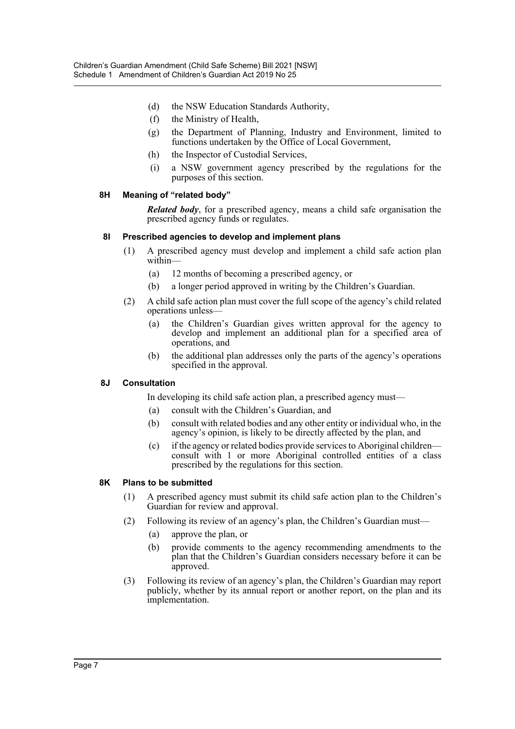- (d) the NSW Education Standards Authority,
- (f) the Ministry of Health,
- (g) the Department of Planning, Industry and Environment, limited to functions undertaken by the Office of Local Government,
- (h) the Inspector of Custodial Services,
- (i) a NSW government agency prescribed by the regulations for the purposes of this section.

## **8H Meaning of "related body"**

*Related body*, for a prescribed agency, means a child safe organisation the prescribed agency funds or regulates.

## **8I Prescribed agencies to develop and implement plans**

- (1) A prescribed agency must develop and implement a child safe action plan within—
	- (a) 12 months of becoming a prescribed agency, or
	- (b) a longer period approved in writing by the Children's Guardian.
- (2) A child safe action plan must cover the full scope of the agency's child related operations unless—
	- (a) the Children's Guardian gives written approval for the agency to develop and implement an additional plan for a specified area of operations, and
	- (b) the additional plan addresses only the parts of the agency's operations specified in the approval.

## **8J Consultation**

In developing its child safe action plan, a prescribed agency must—

- (a) consult with the Children's Guardian, and
- (b) consult with related bodies and any other entity or individual who, in the agency's opinion, is likely to be directly affected by the plan, and
- (c) if the agency or related bodies provide services to Aboriginal children consult with 1 or more Aboriginal controlled entities of a class prescribed by the regulations for this section.

## **8K Plans to be submitted**

- (1) A prescribed agency must submit its child safe action plan to the Children's Guardian for review and approval.
- (2) Following its review of an agency's plan, the Children's Guardian must—
	- (a) approve the plan, or
	- (b) provide comments to the agency recommending amendments to the plan that the Children's Guardian considers necessary before it can be approved.
- (3) Following its review of an agency's plan, the Children's Guardian may report publicly, whether by its annual report or another report, on the plan and its implementation.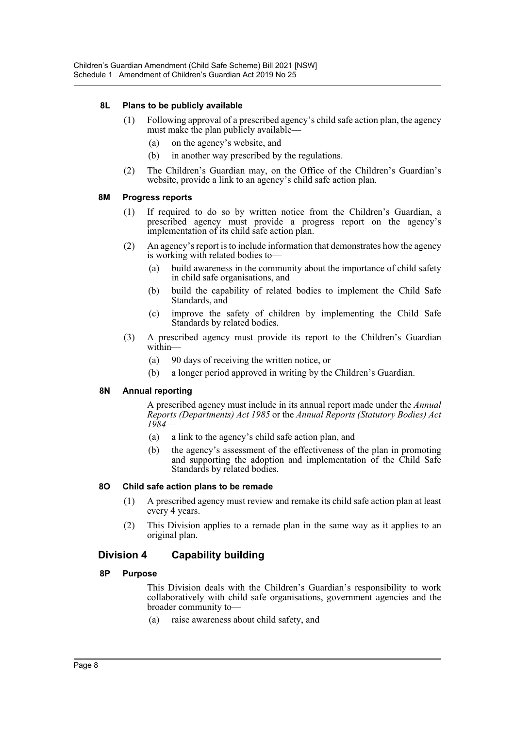# **8L Plans to be publicly available**

- (1) Following approval of a prescribed agency's child safe action plan, the agency must make the plan publicly available—
	- (a) on the agency's website, and
	- (b) in another way prescribed by the regulations.
- (2) The Children's Guardian may, on the Office of the Children's Guardian's website, provide a link to an agency's child safe action plan.

## **8M Progress reports**

- (1) If required to do so by written notice from the Children's Guardian, a prescribed agency must provide a progress report on the agency's implementation of its child safe action plan.
- (2) An agency's report is to include information that demonstrates how the agency is working with related bodies to—
	- (a) build awareness in the community about the importance of child safety in child safe organisations, and
	- (b) build the capability of related bodies to implement the Child Safe Standards, and
	- (c) improve the safety of children by implementing the Child Safe Standards by related bodies.
- (3) A prescribed agency must provide its report to the Children's Guardian within—
	- (a) 90 days of receiving the written notice, or
	- (b) a longer period approved in writing by the Children's Guardian.

## **8N Annual reporting**

A prescribed agency must include in its annual report made under the *Annual Reports (Departments) Act 1985* or the *Annual Reports (Statutory Bodies) Act 1984*—

- (a) a link to the agency's child safe action plan, and
- (b) the agency's assessment of the effectiveness of the plan in promoting and supporting the adoption and implementation of the Child Safe Standards by related bodies.

## **8O Child safe action plans to be remade**

- (1) A prescribed agency must review and remake its child safe action plan at least every 4 years.
- (2) This Division applies to a remade plan in the same way as it applies to an original plan.

# **Division 4 Capability building**

## **8P Purpose**

This Division deals with the Children's Guardian's responsibility to work collaboratively with child safe organisations, government agencies and the broader community to—

(a) raise awareness about child safety, and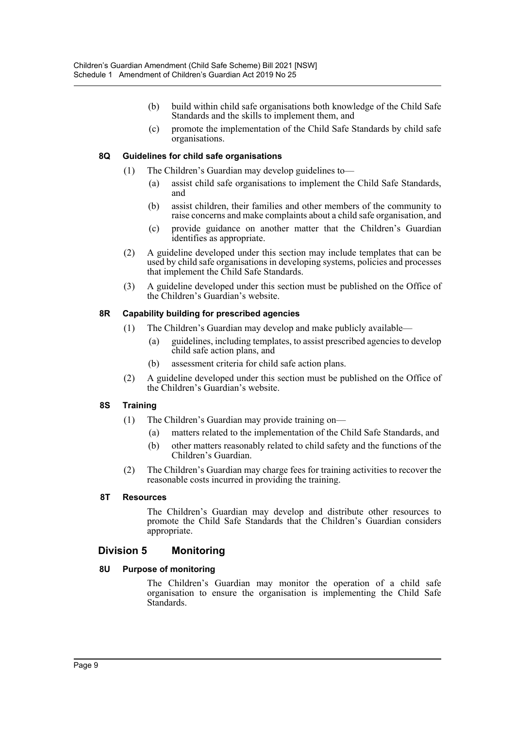- (b) build within child safe organisations both knowledge of the Child Safe Standards and the skills to implement them, and
- (c) promote the implementation of the Child Safe Standards by child safe organisations.

# **8Q Guidelines for child safe organisations**

- (1) The Children's Guardian may develop guidelines to—
	- (a) assist child safe organisations to implement the Child Safe Standards, and
	- (b) assist children, their families and other members of the community to raise concerns and make complaints about a child safe organisation, and
	- (c) provide guidance on another matter that the Children's Guardian identifies as appropriate.
- (2) A guideline developed under this section may include templates that can be used by child safe organisations in developing systems, policies and processes that implement the Child Safe Standards.
- (3) A guideline developed under this section must be published on the Office of the Children's Guardian's website.

# **8R Capability building for prescribed agencies**

- (1) The Children's Guardian may develop and make publicly available—
	- (a) guidelines, including templates, to assist prescribed agencies to develop child safe action plans, and
	- (b) assessment criteria for child safe action plans.
- (2) A guideline developed under this section must be published on the Office of the Children's Guardian's website.

# **8S Training**

- (1) The Children's Guardian may provide training on—
	- (a) matters related to the implementation of the Child Safe Standards, and
	- (b) other matters reasonably related to child safety and the functions of the Children's Guardian.
- (2) The Children's Guardian may charge fees for training activities to recover the reasonable costs incurred in providing the training.

## **8T Resources**

The Children's Guardian may develop and distribute other resources to promote the Child Safe Standards that the Children's Guardian considers appropriate.

# **Division 5 Monitoring**

## **8U Purpose of monitoring**

The Children's Guardian may monitor the operation of a child safe organisation to ensure the organisation is implementing the Child Safe Standards.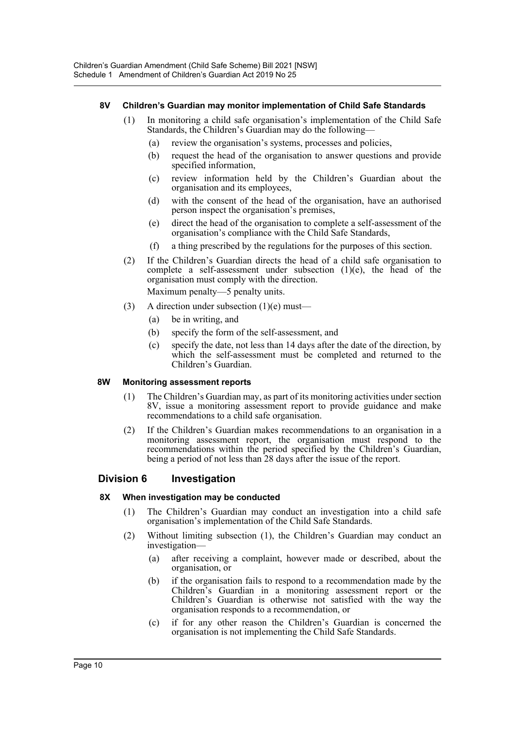# **8V Children's Guardian may monitor implementation of Child Safe Standards**

- (1) In monitoring a child safe organisation's implementation of the Child Safe Standards, the Children's Guardian may do the following—
	- (a) review the organisation's systems, processes and policies,
	- (b) request the head of the organisation to answer questions and provide specified information,
	- (c) review information held by the Children's Guardian about the organisation and its employees,
	- (d) with the consent of the head of the organisation, have an authorised person inspect the organisation's premises,
	- (e) direct the head of the organisation to complete a self-assessment of the organisation's compliance with the Child Safe Standards,
	- (f) a thing prescribed by the regulations for the purposes of this section.
- (2) If the Children's Guardian directs the head of a child safe organisation to complete a self-assessment under subsection (1)(e), the head of the organisation must comply with the direction. Maximum penalty—5 penalty units.
- (3) A direction under subsection  $(1)(e)$  must—
	- (a) be in writing, and
	- (b) specify the form of the self-assessment, and
	- (c) specify the date, not less than 14 days after the date of the direction, by which the self-assessment must be completed and returned to the Children's Guardian.

## **8W Monitoring assessment reports**

- (1) The Children's Guardian may, as part of its monitoring activities under section 8V, issue a monitoring assessment report to provide guidance and make recommendations to a child safe organisation.
- (2) If the Children's Guardian makes recommendations to an organisation in a monitoring assessment report, the organisation must respond to the recommendations within the period specified by the Children's Guardian, being a period of not less than 28 days after the issue of the report.

# **Division 6 Investigation**

## **8X When investigation may be conducted**

- (1) The Children's Guardian may conduct an investigation into a child safe organisation's implementation of the Child Safe Standards.
- (2) Without limiting subsection (1), the Children's Guardian may conduct an investigation—
	- (a) after receiving a complaint, however made or described, about the organisation, or
	- (b) if the organisation fails to respond to a recommendation made by the Children's Guardian in a monitoring assessment report or the Children's Guardian is otherwise not satisfied with the way the organisation responds to a recommendation, or
	- (c) if for any other reason the Children's Guardian is concerned the organisation is not implementing the Child Safe Standards.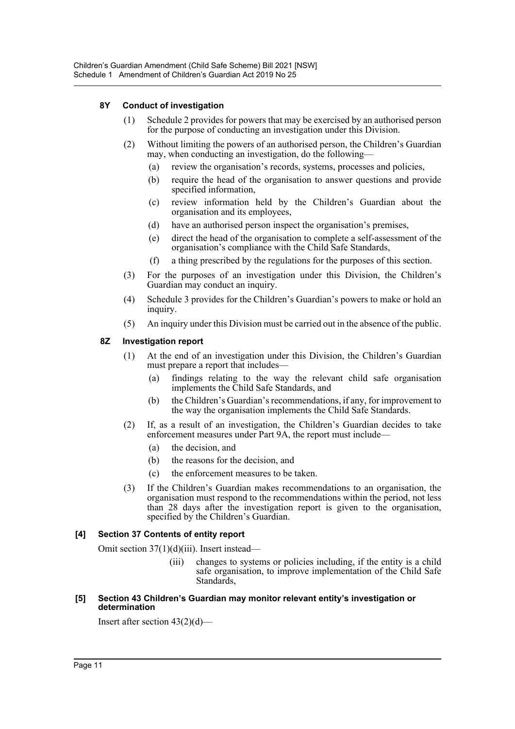# **8Y Conduct of investigation**

- (1) Schedule 2 provides for powers that may be exercised by an authorised person for the purpose of conducting an investigation under this Division.
- (2) Without limiting the powers of an authorised person, the Children's Guardian may, when conducting an investigation, do the following—
	- (a) review the organisation's records, systems, processes and policies,
	- (b) require the head of the organisation to answer questions and provide specified information,
	- (c) review information held by the Children's Guardian about the organisation and its employees,
	- (d) have an authorised person inspect the organisation's premises,
	- (e) direct the head of the organisation to complete a self-assessment of the organisation's compliance with the Child Safe Standards,
	- (f) a thing prescribed by the regulations for the purposes of this section.
- (3) For the purposes of an investigation under this Division, the Children's Guardian may conduct an inquiry.
- (4) Schedule 3 provides for the Children's Guardian's powers to make or hold an inquiry.
- (5) An inquiry under this Division must be carried out in the absence of the public.

# **8Z Investigation report**

- (1) At the end of an investigation under this Division, the Children's Guardian must prepare a report that includes—
	- (a) findings relating to the way the relevant child safe organisation implements the Child Safe Standards, and
	- (b) the Children's Guardian's recommendations, if any, for improvement to the way the organisation implements the Child Safe Standards.
- (2) If, as a result of an investigation, the Children's Guardian decides to take enforcement measures under Part 9A, the report must include—
	- (a) the decision, and
	- (b) the reasons for the decision, and
	- (c) the enforcement measures to be taken.
- (3) If the Children's Guardian makes recommendations to an organisation, the organisation must respond to the recommendations within the period, not less than 28 days after the investigation report is given to the organisation, specified by the Children's Guardian.

# **[4] Section 37 Contents of entity report**

Omit section 37(1)(d)(iii). Insert instead—

- (iii) changes to systems or policies including, if the entity is a child safe organisation, to improve implementation of the Child Safe Standards,
- **[5] Section 43 Children's Guardian may monitor relevant entity's investigation or determination**

Insert after section 43(2)(d)—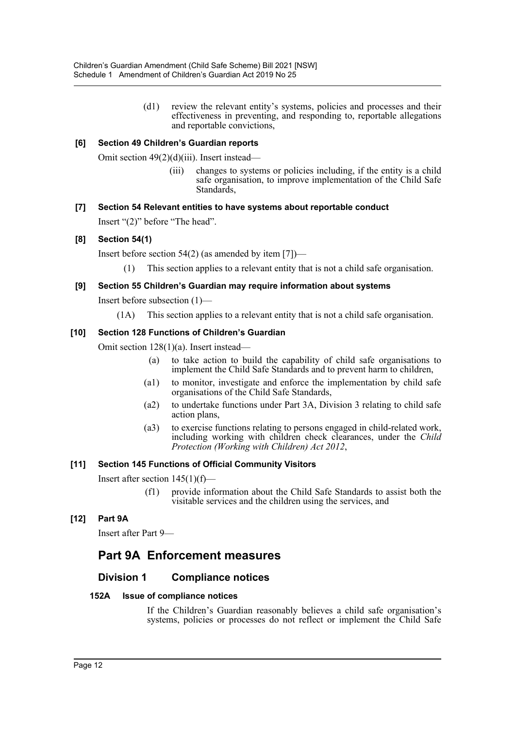(d1) review the relevant entity's systems, policies and processes and their effectiveness in preventing, and responding to, reportable allegations and reportable convictions,

# **[6] Section 49 Children's Guardian reports**

Omit section 49(2)(d)(iii). Insert instead—

(iii) changes to systems or policies including, if the entity is a child safe organisation, to improve implementation of the Child Safe Standards,

# **[7] Section 54 Relevant entities to have systems about reportable conduct**

Insert "(2)" before "The head".

# **[8] Section 54(1)**

Insert before section  $54(2)$  (as amended by item [7])—

(1) This section applies to a relevant entity that is not a child safe organisation.

# **[9] Section 55 Children's Guardian may require information about systems**

Insert before subsection (1)—

(1A) This section applies to a relevant entity that is not a child safe organisation.

# **[10] Section 128 Functions of Children's Guardian**

Omit section 128(1)(a). Insert instead—

- (a) to take action to build the capability of child safe organisations to implement the Child Safe Standards and to prevent harm to children,
- (a1) to monitor, investigate and enforce the implementation by child safe organisations of the Child Safe Standards,
- (a2) to undertake functions under Part 3A, Division 3 relating to child safe action plans,
- (a3) to exercise functions relating to persons engaged in child-related work, including working with children check clearances, under the *Child Protection (Working with Children) Act 2012*,

## **[11] Section 145 Functions of Official Community Visitors**

Insert after section  $145(1)(f)$ —

(f1) provide information about the Child Safe Standards to assist both the visitable services and the children using the services, and

# **[12] Part 9A**

Insert after Part 9—

# **Part 9A Enforcement measures**

# **Division 1 Compliance notices**

## **152A Issue of compliance notices**

If the Children's Guardian reasonably believes a child safe organisation's systems, policies or processes do not reflect or implement the Child Safe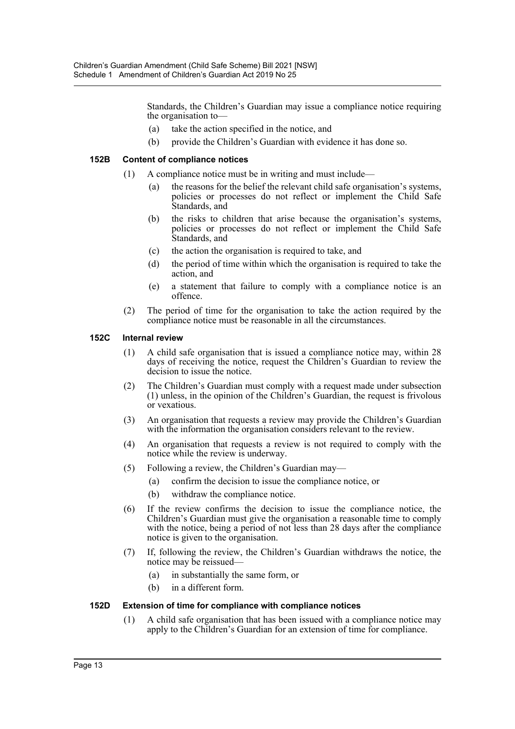Standards, the Children's Guardian may issue a compliance notice requiring the organisation to—

- (a) take the action specified in the notice, and
- (b) provide the Children's Guardian with evidence it has done so.

## **152B Content of compliance notices**

- (1) A compliance notice must be in writing and must include—
	- (a) the reasons for the belief the relevant child safe organisation's systems, policies or processes do not reflect or implement the Child Safe Standards, and
	- (b) the risks to children that arise because the organisation's systems, policies or processes do not reflect or implement the Child Safe Standards, and
	- (c) the action the organisation is required to take, and
	- (d) the period of time within which the organisation is required to take the action, and
	- (e) a statement that failure to comply with a compliance notice is an offence.
- (2) The period of time for the organisation to take the action required by the compliance notice must be reasonable in all the circumstances.

#### **152C Internal review**

- (1) A child safe organisation that is issued a compliance notice may, within 28 days of receiving the notice, request the Children's Guardian to review the decision to issue the notice.
- (2) The Children's Guardian must comply with a request made under subsection (1) unless, in the opinion of the Children's Guardian, the request is frivolous or vexatious.
- (3) An organisation that requests a review may provide the Children's Guardian with the information the organisation considers relevant to the review.
- (4) An organisation that requests a review is not required to comply with the notice while the review is underway.
- (5) Following a review, the Children's Guardian may—
	- (a) confirm the decision to issue the compliance notice, or
	- (b) withdraw the compliance notice.
- (6) If the review confirms the decision to issue the compliance notice, the Children's Guardian must give the organisation a reasonable time to comply with the notice, being a period of not less than 28 days after the compliance notice is given to the organisation.
- (7) If, following the review, the Children's Guardian withdraws the notice, the notice may be reissued—
	- (a) in substantially the same form, or
	- (b) in a different form.

## **152D Extension of time for compliance with compliance notices**

(1) A child safe organisation that has been issued with a compliance notice may apply to the Children's Guardian for an extension of time for compliance.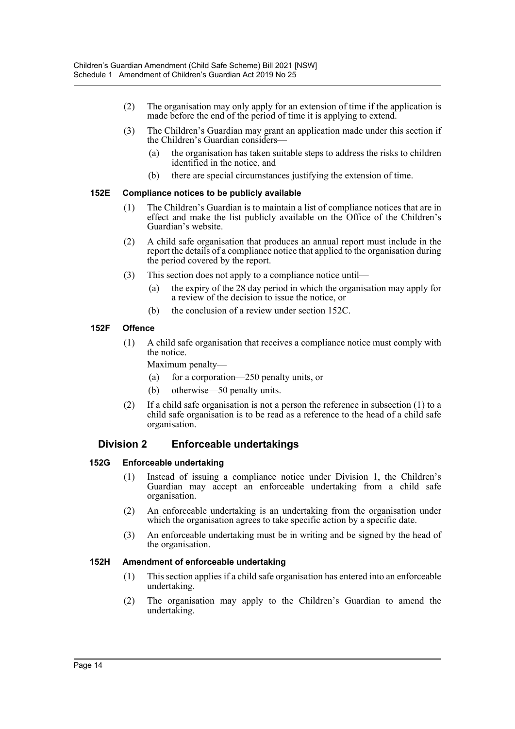- (2) The organisation may only apply for an extension of time if the application is made before the end of the period of time it is applying to extend.
- (3) The Children's Guardian may grant an application made under this section if the Children's Guardian considers—
	- (a) the organisation has taken suitable steps to address the risks to children identified in the notice, and
	- (b) there are special circumstances justifying the extension of time.

## **152E Compliance notices to be publicly available**

- (1) The Children's Guardian is to maintain a list of compliance notices that are in effect and make the list publicly available on the Office of the Children's Guardian's website.
- (2) A child safe organisation that produces an annual report must include in the report the details of a compliance notice that applied to the organisation during the period covered by the report.
- (3) This section does not apply to a compliance notice until—
	- (a) the expiry of the 28 day period in which the organisation may apply for a review of the decision to issue the notice, or
	- (b) the conclusion of a review under section 152C.

# **152F Offence**

(1) A child safe organisation that receives a compliance notice must comply with the notice.

Maximum penalty—

- (a) for a corporation—250 penalty units, or
- (b) otherwise—50 penalty units.
- (2) If a child safe organisation is not a person the reference in subsection (1) to a child safe organisation is to be read as a reference to the head of a child safe organisation.

# **Division 2 Enforceable undertakings**

# **152G Enforceable undertaking**

- (1) Instead of issuing a compliance notice under Division 1, the Children's Guardian may accept an enforceable undertaking from a child safe organisation.
- (2) An enforceable undertaking is an undertaking from the organisation under which the organisation agrees to take specific action by a specific date.
- (3) An enforceable undertaking must be in writing and be signed by the head of the organisation.

## **152H Amendment of enforceable undertaking**

- (1) This section applies if a child safe organisation has entered into an enforceable undertaking.
- (2) The organisation may apply to the Children's Guardian to amend the undertaking.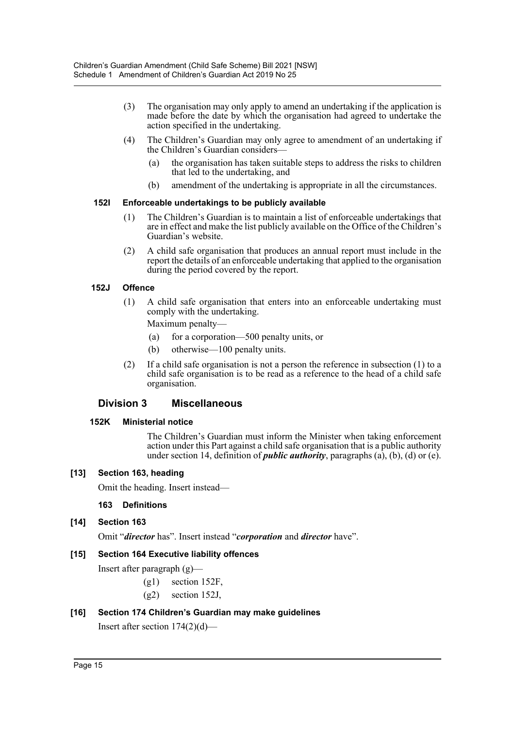- (3) The organisation may only apply to amend an undertaking if the application is made before the date by which the organisation had agreed to undertake the action specified in the undertaking.
- (4) The Children's Guardian may only agree to amendment of an undertaking if the Children's Guardian considers—
	- (a) the organisation has taken suitable steps to address the risks to children that led to the undertaking, and
	- (b) amendment of the undertaking is appropriate in all the circumstances.

## **152I Enforceable undertakings to be publicly available**

- (1) The Children's Guardian is to maintain a list of enforceable undertakings that are in effect and make the list publicly available on the Office of the Children's Guardian's website.
- (2) A child safe organisation that produces an annual report must include in the report the details of an enforceable undertaking that applied to the organisation during the period covered by the report.

# **152J Offence**

(1) A child safe organisation that enters into an enforceable undertaking must comply with the undertaking.

Maximum penalty—

- (a) for a corporation—500 penalty units, or
- (b) otherwise—100 penalty units.
- (2) If a child safe organisation is not a person the reference in subsection (1) to a child safe organisation is to be read as a reference to the head of a child safe organisation.

# **Division 3 Miscellaneous**

## **152K Ministerial notice**

The Children's Guardian must inform the Minister when taking enforcement action under this Part against a child safe organisation that is a public authority under section 14, definition of *public authority*, paragraphs  $(a)$ ,  $(b)$ ,  $(d)$  or  $(e)$ .

## **[13] Section 163, heading**

Omit the heading. Insert instead—

## **163 Definitions**

## **[14] Section 163**

Omit "*director* has". Insert instead "*corporation* and *director* have".

## **[15] Section 164 Executive liability offences**

Insert after paragraph (g)—

- (g1) section 152F,
- (g2) section 152J,

## **[16] Section 174 Children's Guardian may make guidelines**

Insert after section 174(2)(d)—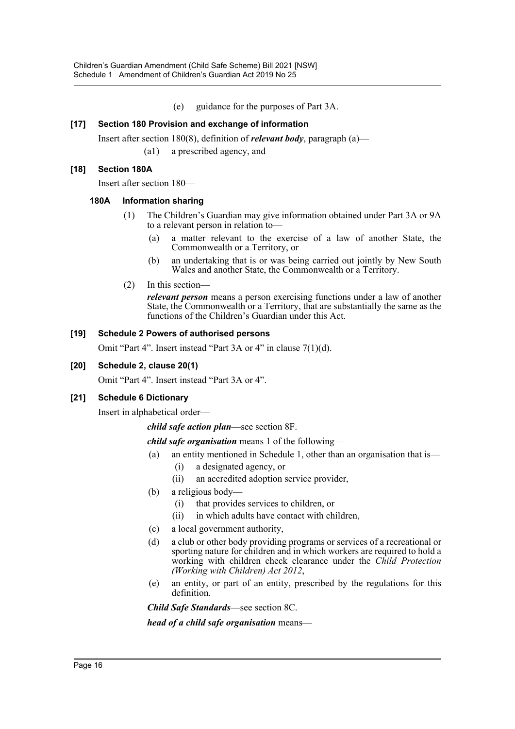(e) guidance for the purposes of Part 3A.

# **[17] Section 180 Provision and exchange of information**

Insert after section 180(8), definition of *relevant body*, paragraph (a)—

(a1) a prescribed agency, and

# **[18] Section 180A**

Insert after section 180—

## **180A Information sharing**

- (1) The Children's Guardian may give information obtained under Part 3A or 9A to a relevant person in relation to—
	- (a) a matter relevant to the exercise of a law of another State, the Commonwealth or a Territory, or
	- (b) an undertaking that is or was being carried out jointly by New South Wales and another State, the Commonwealth or a Territory.
- (2) In this section—

*relevant person* means a person exercising functions under a law of another State, the Commonwealth or a Territory, that are substantially the same as the functions of the Children's Guardian under this Act.

# **[19] Schedule 2 Powers of authorised persons**

Omit "Part 4". Insert instead "Part 3A or 4" in clause 7(1)(d).

## **[20] Schedule 2, clause 20(1)**

Omit "Part 4". Insert instead "Part 3A or 4".

## **[21] Schedule 6 Dictionary**

Insert in alphabetical order—

*child safe action plan*—see section 8F.

*child safe organisation* means 1 of the following—

- (a) an entity mentioned in Schedule 1, other than an organisation that is—
	- (i) a designated agency, or
	- (ii) an accredited adoption service provider,
- (b) a religious body—
	- (i) that provides services to children, or
	- (ii) in which adults have contact with children,
- (c) a local government authority,
- (d) a club or other body providing programs or services of a recreational or sporting nature for children and in which workers are required to hold a working with children check clearance under the *Child Protection (Working with Children) Act 2012*,
- (e) an entity, or part of an entity, prescribed by the regulations for this definition.

*Child Safe Standards*—see section 8C.

*head of a child safe organisation* means—